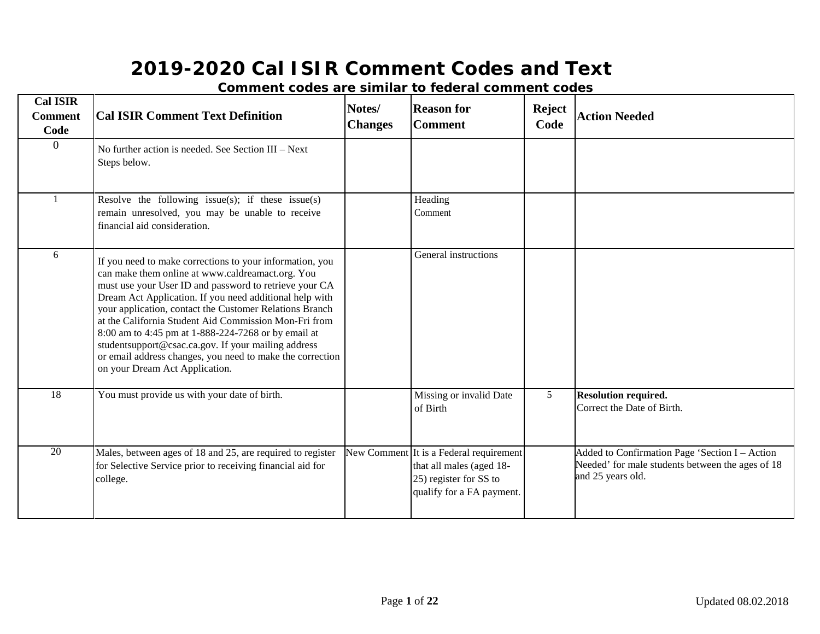| <b>Cal ISIR</b><br><b>Comment</b><br>Code | <b>Cal ISIR Comment Text Definition</b>                                                                                                                                                                                                                                                                                                                                                                                                                                                                                                                            | Notes/<br><b>Changes</b> | <b>Reason for</b><br><b>Comment</b>                                                                                        | <b>Reject</b><br>Code | <b>Action Needed</b>                                                                                                    |
|-------------------------------------------|--------------------------------------------------------------------------------------------------------------------------------------------------------------------------------------------------------------------------------------------------------------------------------------------------------------------------------------------------------------------------------------------------------------------------------------------------------------------------------------------------------------------------------------------------------------------|--------------------------|----------------------------------------------------------------------------------------------------------------------------|-----------------------|-------------------------------------------------------------------------------------------------------------------------|
| $\overline{0}$                            | No further action is needed. See Section III - Next<br>Steps below.                                                                                                                                                                                                                                                                                                                                                                                                                                                                                                |                          |                                                                                                                            |                       |                                                                                                                         |
|                                           | Resolve the following issue(s); if these issue(s)<br>remain unresolved, you may be unable to receive<br>financial aid consideration.                                                                                                                                                                                                                                                                                                                                                                                                                               |                          | Heading<br>Comment                                                                                                         |                       |                                                                                                                         |
| 6                                         | If you need to make corrections to your information, you<br>can make them online at www.caldreamact.org. You<br>must use your User ID and password to retrieve your CA<br>Dream Act Application. If you need additional help with<br>your application, contact the Customer Relations Branch<br>at the California Student Aid Commission Mon-Fri from<br>8:00 am to 4:45 pm at 1-888-224-7268 or by email at<br>studentsupport@csac.ca.gov. If your mailing address<br>or email address changes, you need to make the correction<br>on your Dream Act Application. |                          | General instructions                                                                                                       |                       |                                                                                                                         |
| 18                                        | You must provide us with your date of birth.                                                                                                                                                                                                                                                                                                                                                                                                                                                                                                                       |                          | Missing or invalid Date<br>of Birth                                                                                        | 5 <sup>5</sup>        | <b>Resolution required.</b><br>Correct the Date of Birth.                                                               |
| 20                                        | Males, between ages of 18 and 25, are required to register<br>for Selective Service prior to receiving financial aid for<br>college.                                                                                                                                                                                                                                                                                                                                                                                                                               |                          | New Comment It is a Federal requirement<br>that all males (aged 18-<br>25) register for SS to<br>qualify for a FA payment. |                       | Added to Confirmation Page 'Section I - Action<br>Needed' for male students between the ages of 18<br>and 25 years old. |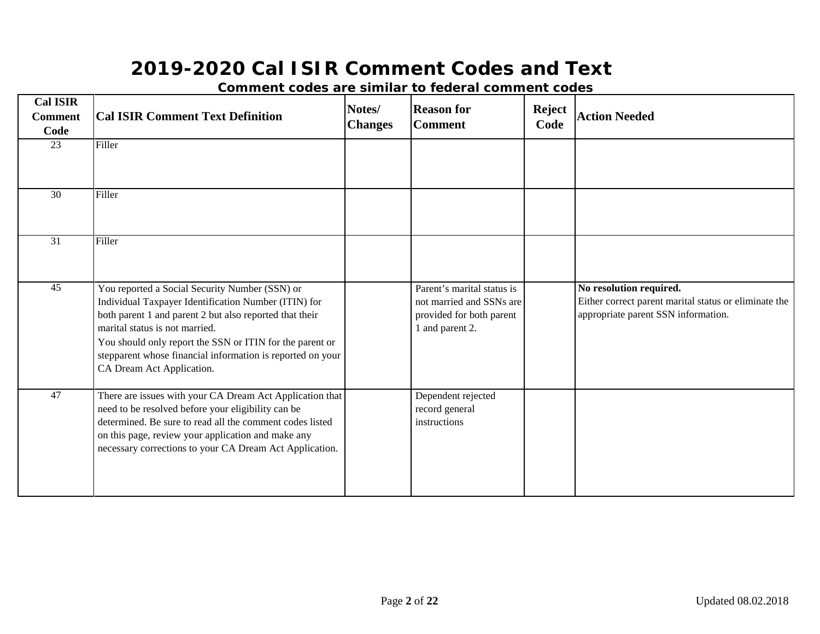| <b>Cal ISIR</b><br><b>Comment</b><br>Code | <b>Cal ISIR Comment Text Definition</b>                                                                                                                                                                                                                                                                                                                    | Notes/<br><b>Changes</b> | <b>Reason for</b><br><b>Comment</b>                                                                   | <b>Reject</b><br>Code | <b>Action Needed</b>                                                                                                    |
|-------------------------------------------|------------------------------------------------------------------------------------------------------------------------------------------------------------------------------------------------------------------------------------------------------------------------------------------------------------------------------------------------------------|--------------------------|-------------------------------------------------------------------------------------------------------|-----------------------|-------------------------------------------------------------------------------------------------------------------------|
| $\overline{23}$                           | Filler                                                                                                                                                                                                                                                                                                                                                     |                          |                                                                                                       |                       |                                                                                                                         |
| $\overline{30}$                           | Filler                                                                                                                                                                                                                                                                                                                                                     |                          |                                                                                                       |                       |                                                                                                                         |
| $\overline{31}$                           | Filler                                                                                                                                                                                                                                                                                                                                                     |                          |                                                                                                       |                       |                                                                                                                         |
| $\overline{45}$                           | You reported a Social Security Number (SSN) or<br>Individual Taxpayer Identification Number (ITIN) for<br>both parent 1 and parent 2 but also reported that their<br>marital status is not married.<br>You should only report the SSN or ITIN for the parent or<br>stepparent whose financial information is reported on your<br>CA Dream Act Application. |                          | Parent's marital status is<br>not married and SSNs are<br>provided for both parent<br>1 and parent 2. |                       | No resolution required.<br>Either correct parent marital status or eliminate the<br>appropriate parent SSN information. |
| 47                                        | There are issues with your CA Dream Act Application that<br>need to be resolved before your eligibility can be<br>determined. Be sure to read all the comment codes listed<br>on this page, review your application and make any<br>necessary corrections to your CA Dream Act Application.                                                                |                          | Dependent rejected<br>record general<br>instructions                                                  |                       |                                                                                                                         |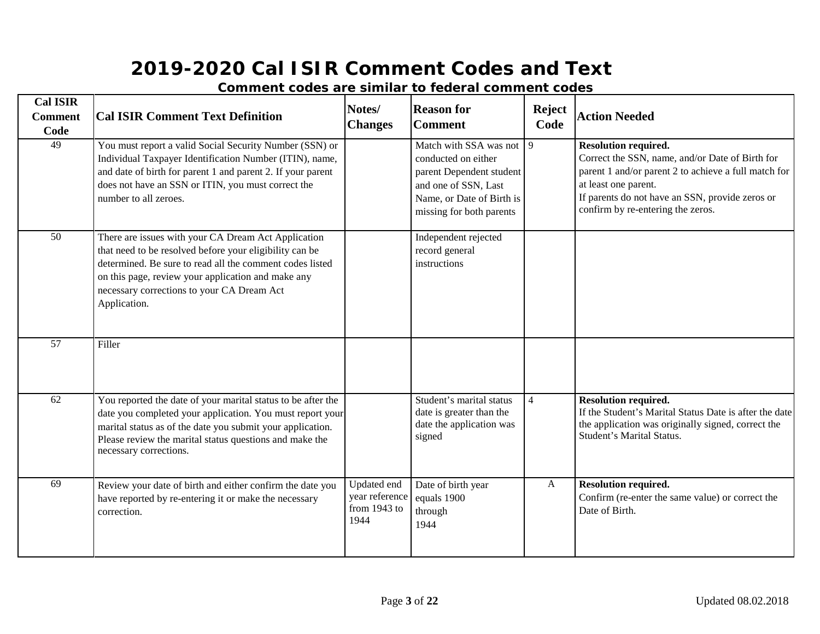| <b>Cal ISIR</b><br><b>Comment</b><br>Code | <b>Cal ISIR Comment Text Definition</b>                                                                                                                                                                                                                                                        | Notes/<br><b>Changes</b>                              | <b>Reason for</b><br><b>Comment</b>                                                                                                                        | <b>Reject</b><br>Code | <b>Action Needed</b>                                                                                                                                                                                                                                   |
|-------------------------------------------|------------------------------------------------------------------------------------------------------------------------------------------------------------------------------------------------------------------------------------------------------------------------------------------------|-------------------------------------------------------|------------------------------------------------------------------------------------------------------------------------------------------------------------|-----------------------|--------------------------------------------------------------------------------------------------------------------------------------------------------------------------------------------------------------------------------------------------------|
| 49                                        | You must report a valid Social Security Number (SSN) or<br>Individual Taxpayer Identification Number (ITIN), name,<br>and date of birth for parent 1 and parent 2. If your parent<br>does not have an SSN or ITIN, you must correct the<br>number to all zeroes.                               |                                                       | Match with SSA was not<br>conducted on either<br>parent Dependent student<br>and one of SSN, Last<br>Name, or Date of Birth is<br>missing for both parents | 9                     | <b>Resolution required.</b><br>Correct the SSN, name, and/or Date of Birth for<br>parent 1 and/or parent 2 to achieve a full match for<br>at least one parent.<br>If parents do not have an SSN, provide zeros or<br>confirm by re-entering the zeros. |
| 50                                        | There are issues with your CA Dream Act Application<br>that need to be resolved before your eligibility can be<br>determined. Be sure to read all the comment codes listed<br>on this page, review your application and make any<br>necessary corrections to your CA Dream Act<br>Application. |                                                       | Independent rejected<br>record general<br>instructions                                                                                                     |                       |                                                                                                                                                                                                                                                        |
| $\overline{57}$                           | Filler                                                                                                                                                                                                                                                                                         |                                                       |                                                                                                                                                            |                       |                                                                                                                                                                                                                                                        |
| 62                                        | You reported the date of your marital status to be after the<br>date you completed your application. You must report your<br>marital status as of the date you submit your application.<br>Please review the marital status questions and make the<br>necessary corrections.                   |                                                       | Student's marital status<br>date is greater than the<br>date the application was<br>signed                                                                 | $\overline{4}$        | <b>Resolution required.</b><br>If the Student's Marital Status Date is after the date<br>the application was originally signed, correct the<br>Student's Marital Status.                                                                               |
| 69                                        | Review your date of birth and either confirm the date you<br>have reported by re-entering it or make the necessary<br>correction.                                                                                                                                                              | Updated end<br>year reference<br>from 1943 to<br>1944 | Date of birth year<br>equals 1900<br>through<br>1944                                                                                                       | $\mathbf{A}$          | <b>Resolution required.</b><br>Confirm (re-enter the same value) or correct the<br>Date of Birth.                                                                                                                                                      |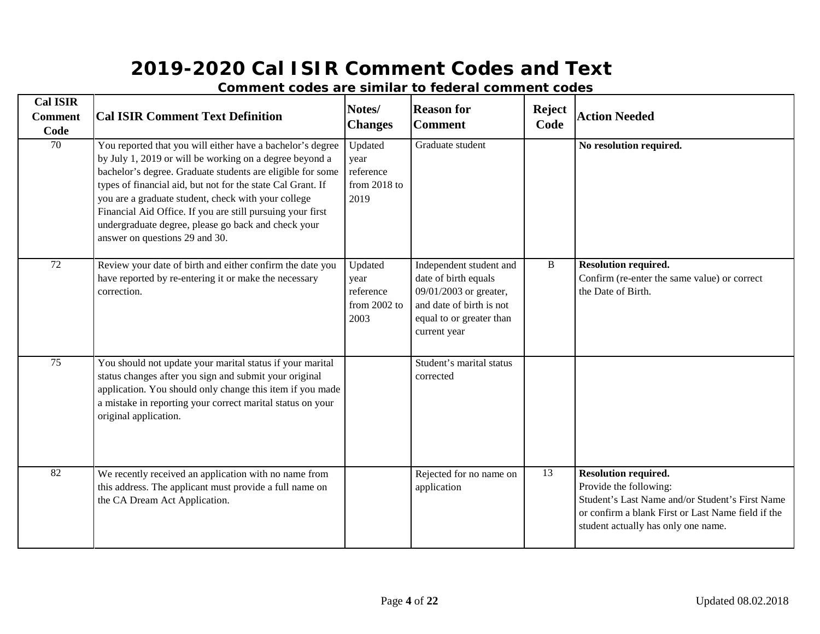| <b>Cal ISIR</b><br><b>Comment</b><br>Code | <b>Cal ISIR Comment Text Definition</b>                                                                                                                                                                                                                                                                                                                                                                                                                          | Notes/<br><b>Changes</b>                             | <b>Reason for</b><br><b>Comment</b>                                                                                                               | <b>Reject</b><br>Code | <b>Action Needed</b>                                                                                                                                                                                  |
|-------------------------------------------|------------------------------------------------------------------------------------------------------------------------------------------------------------------------------------------------------------------------------------------------------------------------------------------------------------------------------------------------------------------------------------------------------------------------------------------------------------------|------------------------------------------------------|---------------------------------------------------------------------------------------------------------------------------------------------------|-----------------------|-------------------------------------------------------------------------------------------------------------------------------------------------------------------------------------------------------|
| $\overline{70}$                           | You reported that you will either have a bachelor's degree<br>by July 1, 2019 or will be working on a degree beyond a<br>bachelor's degree. Graduate students are eligible for some<br>types of financial aid, but not for the state Cal Grant. If<br>you are a graduate student, check with your college<br>Financial Aid Office. If you are still pursuing your first<br>undergraduate degree, please go back and check your<br>answer on questions 29 and 30. | Updated<br>year<br>reference<br>from 2018 to<br>2019 | Graduate student                                                                                                                                  |                       | No resolution required.                                                                                                                                                                               |
| 72                                        | Review your date of birth and either confirm the date you<br>have reported by re-entering it or make the necessary<br>correction.                                                                                                                                                                                                                                                                                                                                | Updated<br>year<br>reference<br>from 2002 to<br>2003 | Independent student and<br>date of birth equals<br>09/01/2003 or greater,<br>and date of birth is not<br>equal to or greater than<br>current year | B                     | <b>Resolution required.</b><br>Confirm (re-enter the same value) or correct<br>the Date of Birth.                                                                                                     |
| $\overline{75}$                           | You should not update your marital status if your marital<br>status changes after you sign and submit your original<br>application. You should only change this item if you made<br>a mistake in reporting your correct marital status on your<br>original application.                                                                                                                                                                                          |                                                      | Student's marital status<br>corrected                                                                                                             |                       |                                                                                                                                                                                                       |
| 82                                        | We recently received an application with no name from<br>this address. The applicant must provide a full name on<br>the CA Dream Act Application.                                                                                                                                                                                                                                                                                                                |                                                      | Rejected for no name on<br>application                                                                                                            | 13                    | <b>Resolution required.</b><br>Provide the following:<br>Student's Last Name and/or Student's First Name<br>or confirm a blank First or Last Name field if the<br>student actually has only one name. |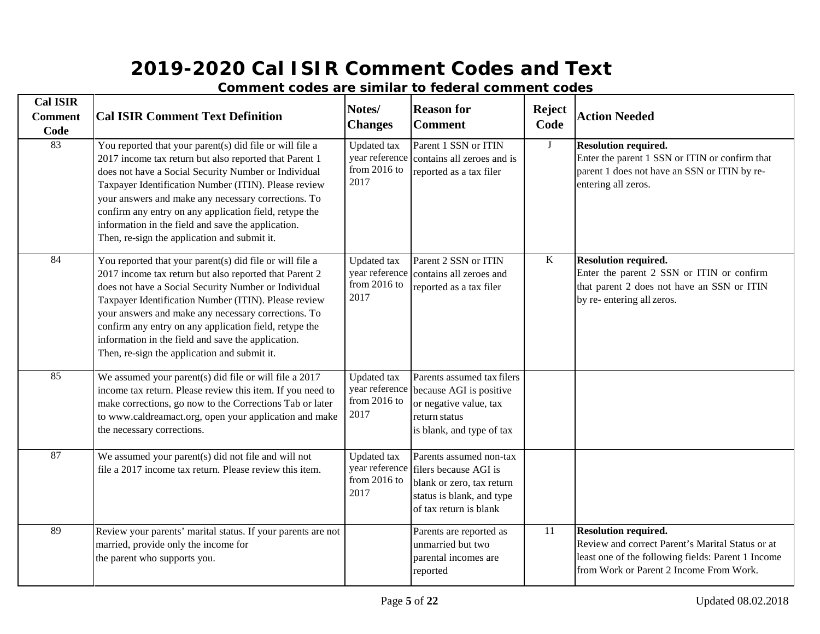| <b>Cal ISIR</b><br><b>Comment</b><br>Code | <b>Cal ISIR Comment Text Definition</b>                                                                                                                                                                                                                                                                                                                                                                                                                   | Notes/<br><b>Changes</b>                                       | <b>Reason for</b><br><b>Comment</b>                                                                                                  | <b>Reject</b><br>Code | <b>Action Needed</b>                                                                                                                                                             |
|-------------------------------------------|-----------------------------------------------------------------------------------------------------------------------------------------------------------------------------------------------------------------------------------------------------------------------------------------------------------------------------------------------------------------------------------------------------------------------------------------------------------|----------------------------------------------------------------|--------------------------------------------------------------------------------------------------------------------------------------|-----------------------|----------------------------------------------------------------------------------------------------------------------------------------------------------------------------------|
| 83                                        | You reported that your parent(s) did file or will file a<br>2017 income tax return but also reported that Parent 1<br>does not have a Social Security Number or Individual<br>Taxpayer Identification Number (ITIN). Please review<br>your answers and make any necessary corrections. To<br>confirm any entry on any application field, retype the<br>information in the field and save the application.<br>Then, re-sign the application and submit it. | Updated tax<br>year reference<br>from $2016$ to<br>2017        | Parent 1 SSN or ITIN<br>contains all zeroes and is<br>reported as a tax filer                                                        | $\mathbf{J}$          | <b>Resolution required.</b><br>Enter the parent 1 SSN or ITIN or confirm that<br>parent 1 does not have an SSN or ITIN by re-<br>entering all zeros.                             |
| 84                                        | You reported that your parent(s) did file or will file a<br>2017 income tax return but also reported that Parent 2<br>does not have a Social Security Number or Individual<br>Taxpayer Identification Number (ITIN). Please review<br>your answers and make any necessary corrections. To<br>confirm any entry on any application field, retype the<br>information in the field and save the application.<br>Then, re-sign the application and submit it. | <b>Updated</b> tax<br>year reference<br>from 2016 to<br>2017   | Parent 2 SSN or ITIN<br>contains all zeroes and<br>reported as a tax filer                                                           | K                     | <b>Resolution required.</b><br>Enter the parent 2 SSN or ITIN or confirm<br>that parent 2 does not have an SSN or ITIN<br>by re- entering all zeros.                             |
| 85                                        | We assumed your parent(s) did file or will file a 2017<br>income tax return. Please review this item. If you need to<br>make corrections, go now to the Corrections Tab or later<br>to www.caldreamact.org, open your application and make<br>the necessary corrections.                                                                                                                                                                                  | <b>Updated</b> tax<br>year reference<br>from 2016 to<br>2017   | Parents assumed tax filers<br>because AGI is positive<br>or negative value, tax<br>return status<br>is blank, and type of tax        |                       |                                                                                                                                                                                  |
| 87                                        | We assumed your parent(s) did not file and will not<br>file a 2017 income tax return. Please review this item.                                                                                                                                                                                                                                                                                                                                            | <b>Updated</b> tax<br>year reference<br>from $2016$ to<br>2017 | Parents assumed non-tax<br>filers because AGI is<br>blank or zero, tax return<br>status is blank, and type<br>of tax return is blank |                       |                                                                                                                                                                                  |
| 89                                        | Review your parents' marital status. If your parents are not<br>married, provide only the income for<br>the parent who supports you.                                                                                                                                                                                                                                                                                                                      |                                                                | Parents are reported as<br>unmarried but two<br>parental incomes are<br>reported                                                     | 11                    | <b>Resolution required.</b><br>Review and correct Parent's Marital Status or at<br>least one of the following fields: Parent 1 Income<br>from Work or Parent 2 Income From Work. |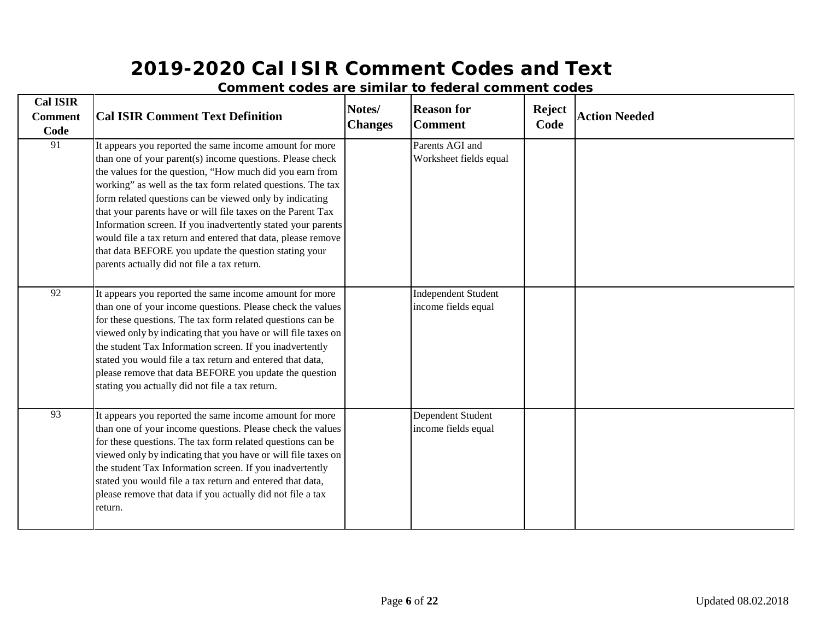| <b>Cal ISIR</b><br><b>Comment</b><br>Code | <b>Cal ISIR Comment Text Definition</b>                                                                                                                                                                                                                                                                                                                                                                                                                                                                                                                                                                           | Notes/<br><b>Changes</b> | <b>Reason for</b><br><b>Comment</b>               | <b>Reject</b><br>Code | <b>Action Needed</b> |
|-------------------------------------------|-------------------------------------------------------------------------------------------------------------------------------------------------------------------------------------------------------------------------------------------------------------------------------------------------------------------------------------------------------------------------------------------------------------------------------------------------------------------------------------------------------------------------------------------------------------------------------------------------------------------|--------------------------|---------------------------------------------------|-----------------------|----------------------|
| 91                                        | It appears you reported the same income amount for more<br>than one of your parent(s) income questions. Please check<br>the values for the question, "How much did you earn from<br>working" as well as the tax form related questions. The tax<br>form related questions can be viewed only by indicating<br>that your parents have or will file taxes on the Parent Tax<br>Information screen. If you inadvertently stated your parents<br>would file a tax return and entered that data, please remove<br>that data BEFORE you update the question stating your<br>parents actually did not file a tax return. |                          | Parents AGI and<br>Worksheet fields equal         |                       |                      |
| 92                                        | It appears you reported the same income amount for more<br>than one of your income questions. Please check the values<br>for these questions. The tax form related questions can be<br>viewed only by indicating that you have or will file taxes on<br>the student Tax Information screen. If you inadvertently<br>stated you would file a tax return and entered that data,<br>please remove that data BEFORE you update the question<br>stating you actually did not file a tax return.                                                                                                                        |                          | <b>Independent Student</b><br>income fields equal |                       |                      |
| 93                                        | It appears you reported the same income amount for more<br>than one of your income questions. Please check the values<br>for these questions. The tax form related questions can be<br>viewed only by indicating that you have or will file taxes on<br>the student Tax Information screen. If you inadvertently<br>stated you would file a tax return and entered that data,<br>please remove that data if you actually did not file a tax<br>return.                                                                                                                                                            |                          | Dependent Student<br>income fields equal          |                       |                      |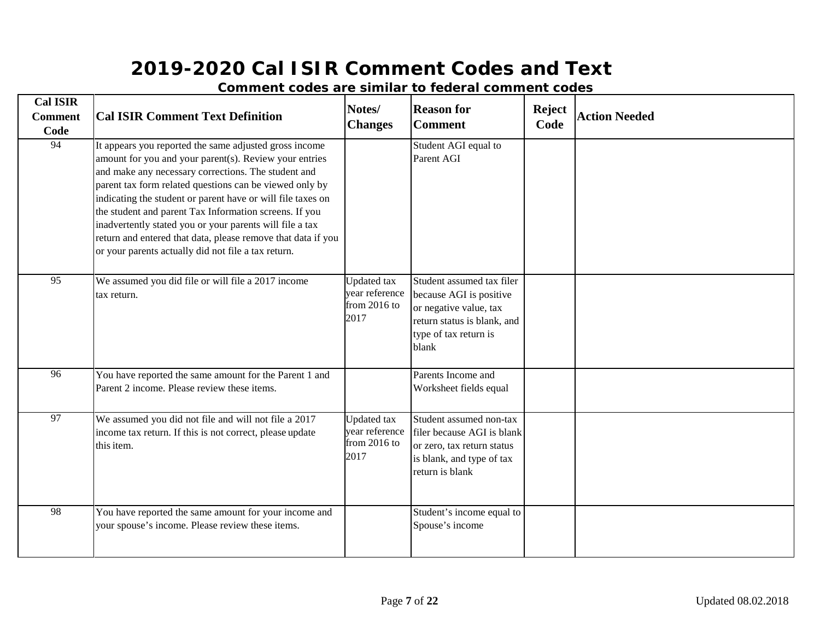| <b>Cal ISIR</b><br><b>Comment</b><br>Code | <b>Cal ISIR Comment Text Definition</b>                                                                                                                                                                                                                                                                                                                                                                                                                                                                                                        | Notes/<br><b>Changes</b>                                       | <b>Reason for</b><br><b>Comment</b>                                                                                                             | <b>Reject</b><br>Code | <b>Action Needed</b> |
|-------------------------------------------|------------------------------------------------------------------------------------------------------------------------------------------------------------------------------------------------------------------------------------------------------------------------------------------------------------------------------------------------------------------------------------------------------------------------------------------------------------------------------------------------------------------------------------------------|----------------------------------------------------------------|-------------------------------------------------------------------------------------------------------------------------------------------------|-----------------------|----------------------|
| $\overline{94}$                           | It appears you reported the same adjusted gross income<br>amount for you and your parent(s). Review your entries<br>and make any necessary corrections. The student and<br>parent tax form related questions can be viewed only by<br>indicating the student or parent have or will file taxes on<br>the student and parent Tax Information screens. If you<br>inadvertently stated you or your parents will file a tax<br>return and entered that data, please remove that data if you<br>or your parents actually did not file a tax return. |                                                                | Student AGI equal to<br>Parent AGI                                                                                                              |                       |                      |
| 95                                        | We assumed you did file or will file a 2017 income<br>tax return.                                                                                                                                                                                                                                                                                                                                                                                                                                                                              | <b>Updated</b> tax<br>year reference<br>from $2016$ to<br>2017 | Student assumed tax filer<br>because AGI is positive<br>or negative value, tax<br>return status is blank, and<br>type of tax return is<br>blank |                       |                      |
| 96                                        | You have reported the same amount for the Parent 1 and<br>Parent 2 income. Please review these items.                                                                                                                                                                                                                                                                                                                                                                                                                                          |                                                                | Parents Income and<br>Worksheet fields equal                                                                                                    |                       |                      |
| 97                                        | We assumed you did not file and will not file a 2017<br>income tax return. If this is not correct, please update<br>this item.                                                                                                                                                                                                                                                                                                                                                                                                                 | <b>Updated</b> tax<br>year reference<br>from $2016$ to<br>2017 | Student assumed non-tax<br>filer because AGI is blank<br>or zero, tax return status<br>is blank, and type of tax<br>return is blank             |                       |                      |
| 98                                        | You have reported the same amount for your income and<br>your spouse's income. Please review these items.                                                                                                                                                                                                                                                                                                                                                                                                                                      |                                                                | Student's income equal to<br>Spouse's income                                                                                                    |                       |                      |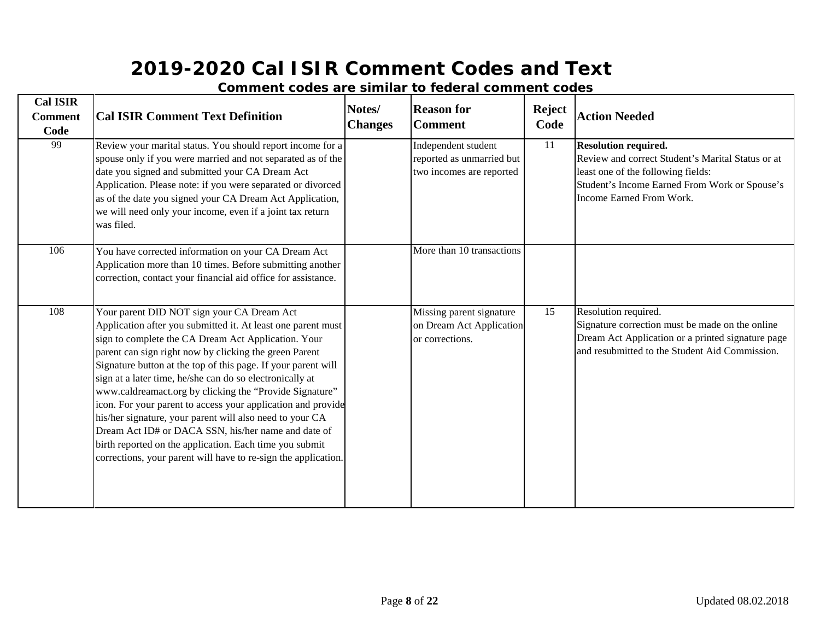| <b>Cal ISIR</b><br><b>Comment</b><br>Code | <b>Cal ISIR Comment Text Definition</b>                                                                                                                                                                                                                                                                                                                                                                                                                                                                                                                                                                                                                                                                                             | Notes/<br><b>Changes</b> | <b>Reason for</b><br><b>Comment</b>                                          | <b>Reject</b><br>Code | <b>Action Needed</b>                                                                                                                                                                                |
|-------------------------------------------|-------------------------------------------------------------------------------------------------------------------------------------------------------------------------------------------------------------------------------------------------------------------------------------------------------------------------------------------------------------------------------------------------------------------------------------------------------------------------------------------------------------------------------------------------------------------------------------------------------------------------------------------------------------------------------------------------------------------------------------|--------------------------|------------------------------------------------------------------------------|-----------------------|-----------------------------------------------------------------------------------------------------------------------------------------------------------------------------------------------------|
| 99                                        | Review your marital status. You should report income for a<br>spouse only if you were married and not separated as of the<br>date you signed and submitted your CA Dream Act<br>Application. Please note: if you were separated or divorced<br>as of the date you signed your CA Dream Act Application,<br>we will need only your income, even if a joint tax return<br>was filed.                                                                                                                                                                                                                                                                                                                                                  |                          | Independent student<br>reported as unmarried but<br>two incomes are reported | 11                    | <b>Resolution required.</b><br>Review and correct Student's Marital Status or at<br>least one of the following fields:<br>Student's Income Earned From Work or Spouse's<br>Income Earned From Work. |
| 106                                       | You have corrected information on your CA Dream Act<br>Application more than 10 times. Before submitting another<br>correction, contact your financial aid office for assistance.                                                                                                                                                                                                                                                                                                                                                                                                                                                                                                                                                   |                          | More than 10 transactions                                                    |                       |                                                                                                                                                                                                     |
| 108                                       | Your parent DID NOT sign your CA Dream Act<br>Application after you submitted it. At least one parent must<br>sign to complete the CA Dream Act Application. Your<br>parent can sign right now by clicking the green Parent<br>Signature button at the top of this page. If your parent will<br>sign at a later time, he/she can do so electronically at<br>www.caldreamact.org by clicking the "Provide Signature"<br>icon. For your parent to access your application and provide<br>his/her signature, your parent will also need to your CA<br>Dream Act ID# or DACA SSN, his/her name and date of<br>birth reported on the application. Each time you submit<br>corrections, your parent will have to re-sign the application. |                          | Missing parent signature<br>on Dream Act Application<br>or corrections.      | 15                    | Resolution required.<br>Signature correction must be made on the online<br>Dream Act Application or a printed signature page<br>and resubmitted to the Student Aid Commission.                      |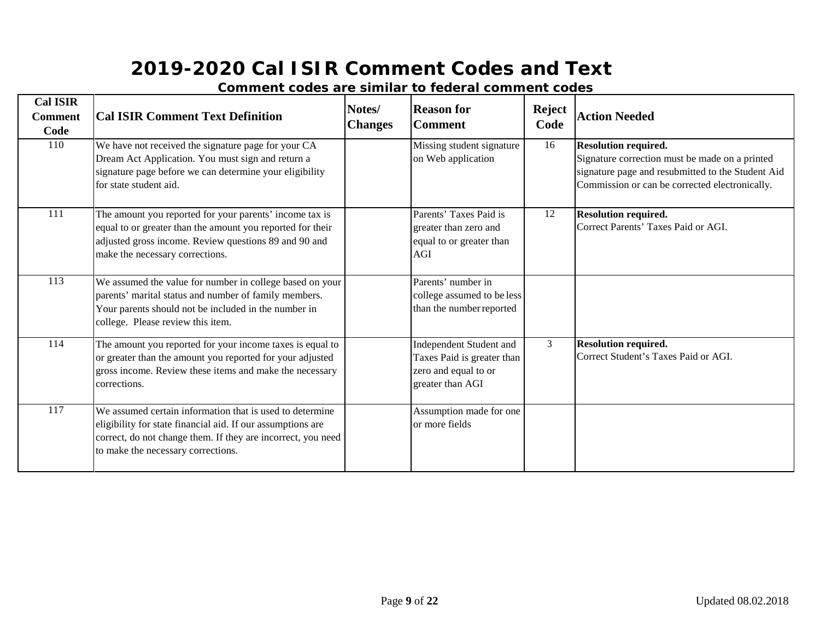| <b>Cal ISIR</b><br><b>Comment</b><br>Code | <b>Cal ISIR Comment Text Definition</b>                                                                                                                                                                                       | Notes/<br><b>Changes</b> | <b>Reason for</b><br><b>Comment</b>                                                               | <b>Reject</b><br>Code | <b>Action Needed</b>                                                                                                                                                                 |
|-------------------------------------------|-------------------------------------------------------------------------------------------------------------------------------------------------------------------------------------------------------------------------------|--------------------------|---------------------------------------------------------------------------------------------------|-----------------------|--------------------------------------------------------------------------------------------------------------------------------------------------------------------------------------|
| 110                                       | We have not received the signature page for your CA<br>Dream Act Application. You must sign and return a<br>signature page before we can determine your eligibility<br>for state student aid.                                 |                          | Missing student signature<br>on Web application                                                   | 16                    | <b>Resolution required.</b><br>Signature correction must be made on a printed<br>signature page and resubmitted to the Student Aid<br>Commission or can be corrected electronically. |
| 111                                       | The amount you reported for your parents' income tax is<br>equal to or greater than the amount you reported for their<br>adjusted gross income. Review questions 89 and 90 and<br>make the necessary corrections.             |                          | Parents' Taxes Paid is<br>greater than zero and<br>equal to or greater than<br><b>AGI</b>         | 12                    | <b>Resolution required.</b><br>Correct Parents' Taxes Paid or AGI.                                                                                                                   |
| 113                                       | We assumed the value for number in college based on your<br>parents' marital status and number of family members.<br>Your parents should not be included in the number in<br>college. Please review this item.                |                          | Parents' number in<br>college assumed to be less<br>than the number reported                      |                       |                                                                                                                                                                                      |
| 114                                       | The amount you reported for your income taxes is equal to<br>or greater than the amount you reported for your adjusted<br>gross income. Review these items and make the necessary<br>corrections.                             |                          | Independent Student and<br>Taxes Paid is greater than<br>zero and equal to or<br>greater than AGI | 3                     | <b>Resolution required.</b><br>Correct Student's Taxes Paid or AGI.                                                                                                                  |
| $\overline{117}$                          | We assumed certain information that is used to determine<br>eligibility for state financial aid. If our assumptions are<br>correct, do not change them. If they are incorrect, you need<br>to make the necessary corrections. |                          | Assumption made for one<br>or more fields                                                         |                       |                                                                                                                                                                                      |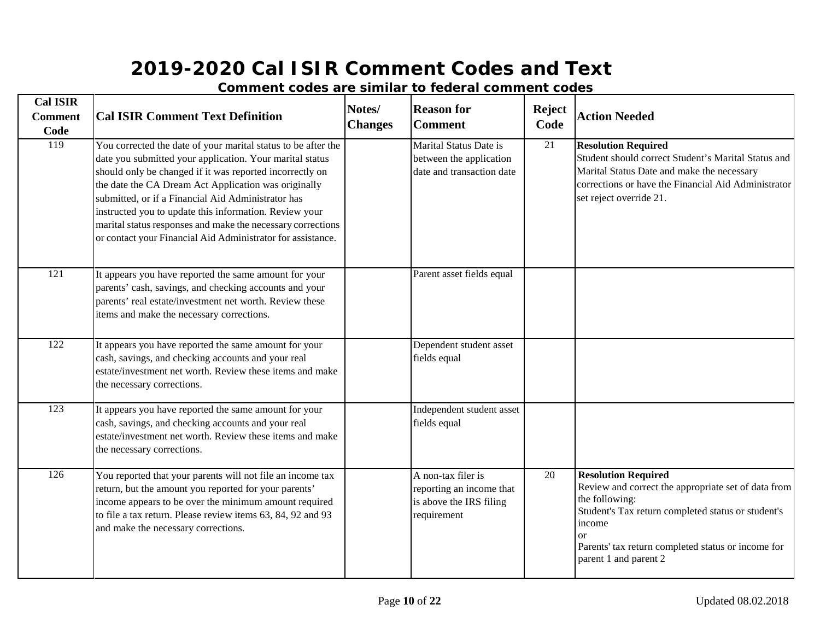| <b>Cal ISIR</b><br><b>Comment</b><br>Code | <b>Cal ISIR Comment Text Definition</b>                                                                                                                                                                                                                                                                                                                                                                                                                                                     | Notes/<br><b>Changes</b> | <b>Reason for</b><br><b>Comment</b>                                                      | <b>Reject</b><br>Code | <b>Action Needed</b>                                                                                                                                                                                                                                           |
|-------------------------------------------|---------------------------------------------------------------------------------------------------------------------------------------------------------------------------------------------------------------------------------------------------------------------------------------------------------------------------------------------------------------------------------------------------------------------------------------------------------------------------------------------|--------------------------|------------------------------------------------------------------------------------------|-----------------------|----------------------------------------------------------------------------------------------------------------------------------------------------------------------------------------------------------------------------------------------------------------|
| $\overline{119}$                          | You corrected the date of your marital status to be after the<br>date you submitted your application. Your marital status<br>should only be changed if it was reported incorrectly on<br>the date the CA Dream Act Application was originally<br>submitted, or if a Financial Aid Administrator has<br>instructed you to update this information. Review your<br>marital status responses and make the necessary corrections<br>or contact your Financial Aid Administrator for assistance. |                          | Marital Status Date is<br>between the application<br>date and transaction date           | 21                    | <b>Resolution Required</b><br>Student should correct Student's Marital Status and<br>Marital Status Date and make the necessary<br>corrections or have the Financial Aid Administrator<br>set reject override 21.                                              |
| $\overline{121}$                          | It appears you have reported the same amount for your<br>parents' cash, savings, and checking accounts and your<br>parents' real estate/investment net worth. Review these<br>items and make the necessary corrections.                                                                                                                                                                                                                                                                     |                          | Parent asset fields equal                                                                |                       |                                                                                                                                                                                                                                                                |
| $\overline{122}$                          | It appears you have reported the same amount for your<br>cash, savings, and checking accounts and your real<br>estate/investment net worth. Review these items and make<br>the necessary corrections.                                                                                                                                                                                                                                                                                       |                          | Dependent student asset<br>fields equal                                                  |                       |                                                                                                                                                                                                                                                                |
| $\overline{123}$                          | It appears you have reported the same amount for your<br>cash, savings, and checking accounts and your real<br>estate/investment net worth. Review these items and make<br>the necessary corrections.                                                                                                                                                                                                                                                                                       |                          | Independent student asset<br>fields equal                                                |                       |                                                                                                                                                                                                                                                                |
| $\frac{126}{ }$                           | You reported that your parents will not file an income tax<br>return, but the amount you reported for your parents'<br>income appears to be over the minimum amount required<br>to file a tax return. Please review items 63, 84, 92 and 93<br>and make the necessary corrections.                                                                                                                                                                                                          |                          | A non-tax filer is<br>reporting an income that<br>is above the IRS filing<br>requirement | 20                    | <b>Resolution Required</b><br>Review and correct the appropriate set of data from<br>the following:<br>Student's Tax return completed status or student's<br>income<br>$\alpha$<br>Parents' tax return completed status or income for<br>parent 1 and parent 2 |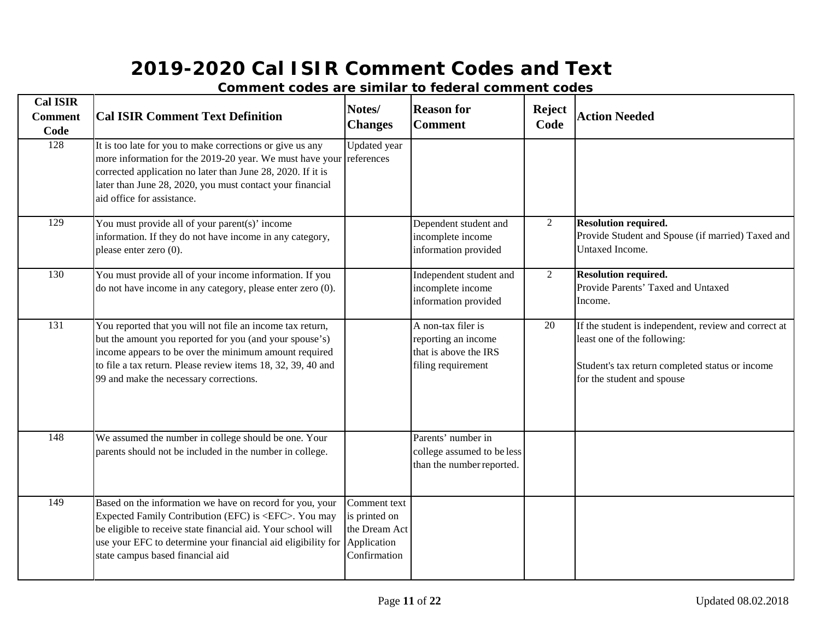| <b>Cal ISIR</b><br><b>Comment</b><br>Code | <b>Cal ISIR Comment Text Definition</b>                                                                                                                                                                                                                                                                   | Notes/<br><b>Changes</b>                                       | <b>Reason for</b><br><b>Comment</b>                                                      | <b>Reject</b><br>Code | <b>Action Needed</b>                                                                                                                                                 |
|-------------------------------------------|-----------------------------------------------------------------------------------------------------------------------------------------------------------------------------------------------------------------------------------------------------------------------------------------------------------|----------------------------------------------------------------|------------------------------------------------------------------------------------------|-----------------------|----------------------------------------------------------------------------------------------------------------------------------------------------------------------|
| 128                                       | It is too late for you to make corrections or give us any<br>more information for the 2019-20 year. We must have your references<br>corrected application no later than June 28, 2020. If it is<br>later than June 28, 2020, you must contact your financial<br>aid office for assistance.                | Updated year                                                   |                                                                                          |                       |                                                                                                                                                                      |
| 129                                       | You must provide all of your parent(s)' income<br>information. If they do not have income in any category,<br>please enter zero (0).                                                                                                                                                                      |                                                                | Dependent student and<br>incomplete income<br>information provided                       | $\overline{2}$        | Resolution required.<br>Provide Student and Spouse (if married) Taxed and<br>Untaxed Income.                                                                         |
| 130                                       | You must provide all of your income information. If you<br>do not have income in any category, please enter zero (0).                                                                                                                                                                                     |                                                                | Independent student and<br>incomplete income<br>information provided                     | 2                     | Resolution required.<br>Provide Parents' Taxed and Untaxed<br>Income.                                                                                                |
| 131                                       | You reported that you will not file an income tax return,<br>but the amount you reported for you (and your spouse's)<br>income appears to be over the minimum amount required<br>to file a tax return. Please review items 18, 32, 39, 40 and<br>99 and make the necessary corrections.                   |                                                                | A non-tax filer is<br>reporting an income<br>that is above the IRS<br>filing requirement | 20                    | If the student is independent, review and correct at<br>least one of the following:<br>Student's tax return completed status or income<br>for the student and spouse |
| 148                                       | We assumed the number in college should be one. Your<br>parents should not be included in the number in college.                                                                                                                                                                                          |                                                                | Parents' number in<br>college assumed to be less<br>than the number reported.            |                       |                                                                                                                                                                      |
| 149                                       | Based on the information we have on record for you, your<br>Expected Family Contribution (EFC) is <efc>. You may<br/>be eligible to receive state financial aid. Your school will<br/>use your EFC to determine your financial aid eligibility for Application<br/>state campus based financial aid</efc> | Comment text<br>is printed on<br>the Dream Act<br>Confirmation |                                                                                          |                       |                                                                                                                                                                      |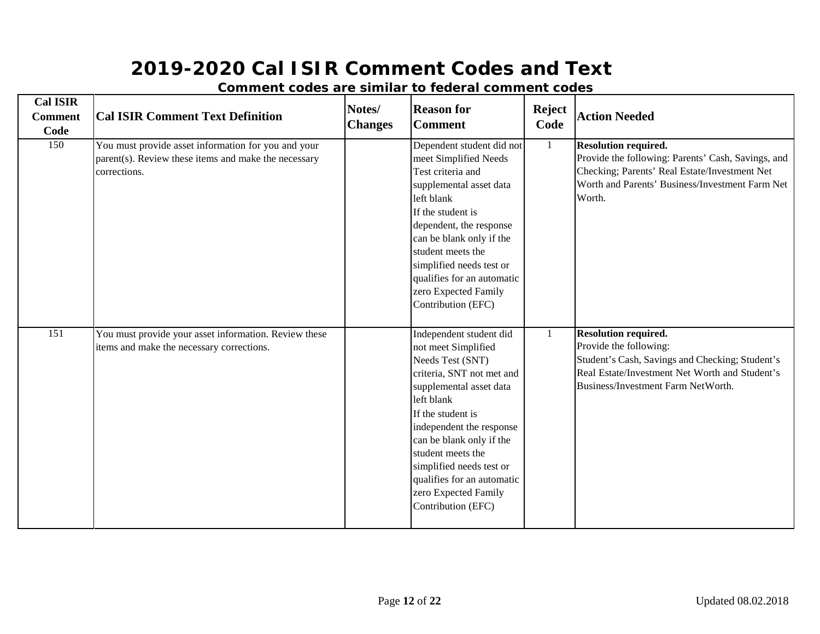| <b>Cal ISIR</b><br><b>Comment</b><br>Code | <b>Cal ISIR Comment Text Definition</b>                                                                                     | Notes/<br><b>Changes</b> | <b>Reason for</b><br><b>Comment</b>                                                                                                                                                                                                                                                                                                                | <b>Reject</b><br>Code | <b>Action Needed</b>                                                                                                                                                                             |
|-------------------------------------------|-----------------------------------------------------------------------------------------------------------------------------|--------------------------|----------------------------------------------------------------------------------------------------------------------------------------------------------------------------------------------------------------------------------------------------------------------------------------------------------------------------------------------------|-----------------------|--------------------------------------------------------------------------------------------------------------------------------------------------------------------------------------------------|
| 150                                       | You must provide asset information for you and your<br>parent(s). Review these items and make the necessary<br>corrections. |                          | Dependent student did not<br>meet Simplified Needs<br>Test criteria and<br>supplemental asset data<br>left blank<br>If the student is<br>dependent, the response<br>can be blank only if the<br>student meets the<br>simplified needs test or<br>qualifies for an automatic<br>zero Expected Family<br>Contribution (EFC)                          | 1                     | <b>Resolution required.</b><br>Provide the following: Parents' Cash, Savings, and<br>Checking; Parents' Real Estate/Investment Net<br>Worth and Parents' Business/Investment Farm Net<br>Worth.  |
| 151                                       | You must provide your asset information. Review these<br>items and make the necessary corrections.                          |                          | Independent student did<br>not meet Simplified<br>Needs Test (SNT)<br>criteria, SNT not met and<br>supplemental asset data<br>left blank<br>If the student is<br>independent the response<br>can be blank only if the<br>student meets the<br>simplified needs test or<br>qualifies for an automatic<br>zero Expected Family<br>Contribution (EFC) |                       | <b>Resolution required.</b><br>Provide the following:<br>Student's Cash, Savings and Checking; Student's<br>Real Estate/Investment Net Worth and Student's<br>Business/Investment Farm NetWorth. |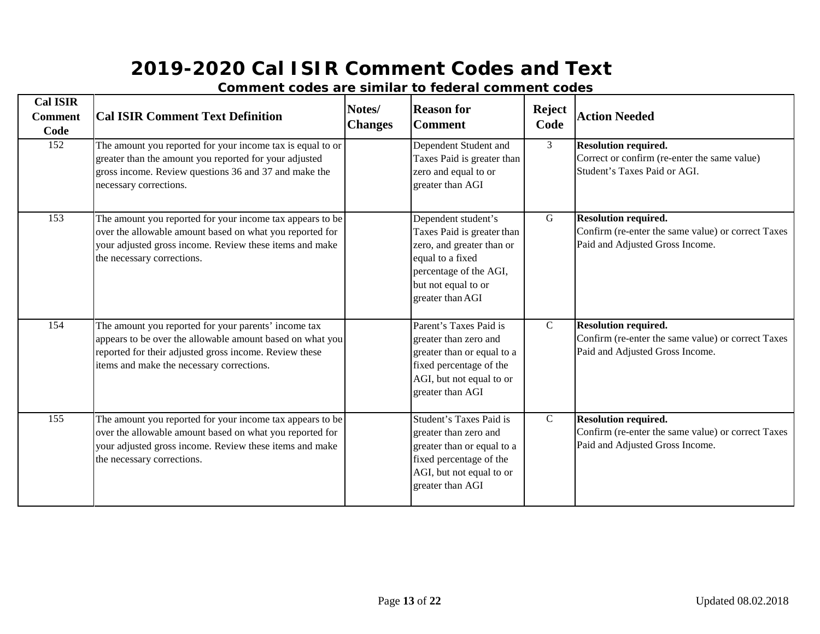| <b>Cal ISIR</b><br><b>Comment</b><br>Code | <b>Cal ISIR Comment Text Definition</b>                                                                                                                                                                                  | Notes/<br><b>Changes</b> | <b>Reason for</b><br><b>Comment</b>                                                                                                                                     | <b>Reject</b><br>Code | <b>Action Needed</b>                                                                                                 |
|-------------------------------------------|--------------------------------------------------------------------------------------------------------------------------------------------------------------------------------------------------------------------------|--------------------------|-------------------------------------------------------------------------------------------------------------------------------------------------------------------------|-----------------------|----------------------------------------------------------------------------------------------------------------------|
| 152                                       | The amount you reported for your income tax is equal to or<br>greater than the amount you reported for your adjusted<br>gross income. Review questions 36 and 37 and make the<br>necessary corrections.                  |                          | Dependent Student and<br>Taxes Paid is greater than<br>zero and equal to or<br>greater than AGI                                                                         | 3 <sup>7</sup>        | <b>Resolution required.</b><br>Correct or confirm (re-enter the same value)<br>Student's Taxes Paid or AGI.          |
| 153                                       | The amount you reported for your income tax appears to be<br>over the allowable amount based on what you reported for<br>your adjusted gross income. Review these items and make<br>the necessary corrections.           |                          | Dependent student's<br>Taxes Paid is greater than<br>zero, and greater than or<br>equal to a fixed<br>percentage of the AGI,<br>but not equal to or<br>greater than AGI | G                     | <b>Resolution required.</b><br>Confirm (re-enter the same value) or correct Taxes<br>Paid and Adjusted Gross Income. |
| 154                                       | The amount you reported for your parents' income tax<br>appears to be over the allowable amount based on what you<br>reported for their adjusted gross income. Review these<br>items and make the necessary corrections. |                          | Parent's Taxes Paid is<br>greater than zero and<br>greater than or equal to a<br>fixed percentage of the<br>AGI, but not equal to or<br>greater than AGI                | $\overline{C}$        | <b>Resolution required.</b><br>Confirm (re-enter the same value) or correct Taxes<br>Paid and Adjusted Gross Income. |
| 155                                       | The amount you reported for your income tax appears to be<br>over the allowable amount based on what you reported for<br>your adjusted gross income. Review these items and make<br>the necessary corrections.           |                          | Student's Taxes Paid is<br>greater than zero and<br>greater than or equal to a<br>fixed percentage of the<br>AGI, but not equal to or<br>greater than AGI               | $\mathcal{C}$         | <b>Resolution required.</b><br>Confirm (re-enter the same value) or correct Taxes<br>Paid and Adjusted Gross Income. |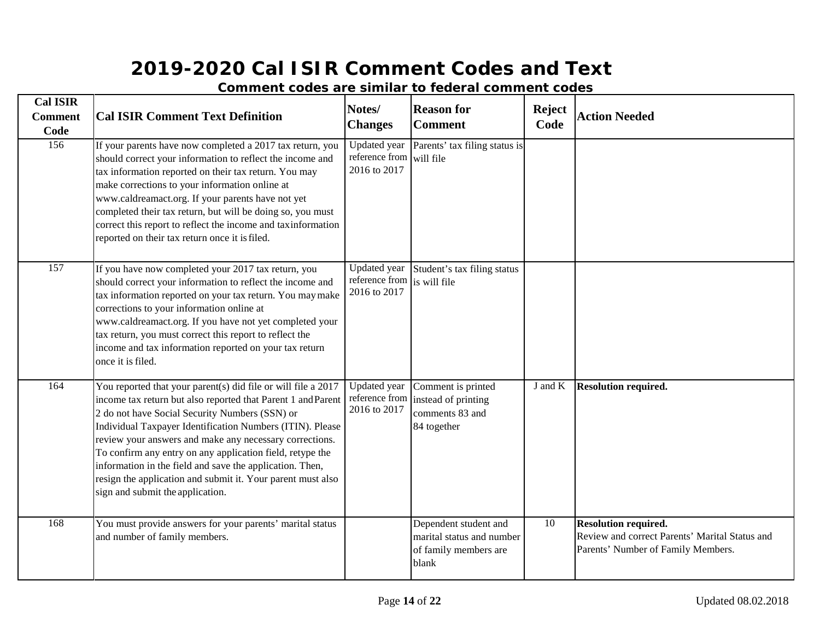| <b>Cal ISIR</b><br><b>Comment</b><br>Code | <b>Cal ISIR Comment Text Definition</b>                                                                                                                                                                                                                                                                                                                                                                                                                                                                                             | Notes/<br><b>Changes</b>                                    | <b>Reason for</b><br><b>Comment</b>                                                  | <b>Reject</b><br>Code | <b>Action Needed</b>                                                                                         |
|-------------------------------------------|-------------------------------------------------------------------------------------------------------------------------------------------------------------------------------------------------------------------------------------------------------------------------------------------------------------------------------------------------------------------------------------------------------------------------------------------------------------------------------------------------------------------------------------|-------------------------------------------------------------|--------------------------------------------------------------------------------------|-----------------------|--------------------------------------------------------------------------------------------------------------|
| 156                                       | If your parents have now completed a 2017 tax return, you<br>should correct your information to reflect the income and<br>tax information reported on their tax return. You may<br>make corrections to your information online at<br>www.caldreamact.org. If your parents have not yet<br>completed their tax return, but will be doing so, you must<br>correct this report to reflect the income and taxinformation<br>reported on their tax return once it is filed.                                                              | <b>Updated</b> year<br>reference from<br>2016 to 2017       | Parents' tax filing status is<br>will file                                           |                       |                                                                                                              |
| 157                                       | If you have now completed your 2017 tax return, you<br>should correct your information to reflect the income and<br>tax information reported on your tax return. You may make<br>corrections to your information online at<br>www.caldreamact.org. If you have not yet completed your<br>tax return, you must correct this report to reflect the<br>income and tax information reported on your tax return<br>once it is filed.                                                                                                     | Updated year<br>reference from is will file<br>2016 to 2017 | Student's tax filing status                                                          |                       |                                                                                                              |
| 164                                       | You reported that your parent(s) did file or will file a 2017<br>income tax return but also reported that Parent 1 and Parent<br>2 do not have Social Security Numbers (SSN) or<br>Individual Taxpayer Identification Numbers (ITIN). Please<br>review your answers and make any necessary corrections.<br>To confirm any entry on any application field, retype the<br>information in the field and save the application. Then,<br>resign the application and submit it. Your parent must also<br>sign and submit the application. | <b>Updated</b> year<br>reference from<br>2016 to 2017       | Comment is printed<br>instead of printing<br>comments 83 and<br>84 together          | J and K               | <b>Resolution required.</b>                                                                                  |
| 168                                       | You must provide answers for your parents' marital status<br>and number of family members.                                                                                                                                                                                                                                                                                                                                                                                                                                          |                                                             | Dependent student and<br>marital status and number<br>of family members are<br>blank | 10                    | Resolution required.<br>Review and correct Parents' Marital Status and<br>Parents' Number of Family Members. |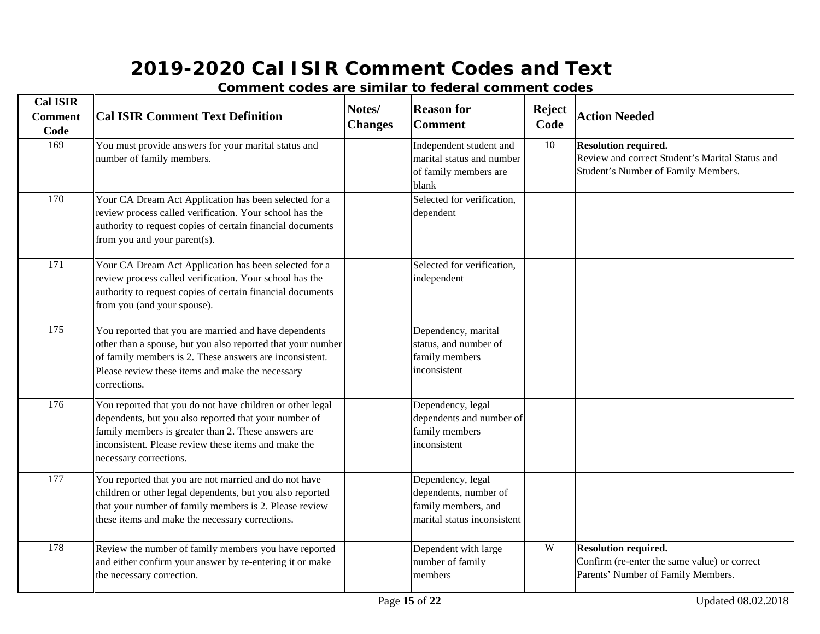| <b>Cal ISIR</b><br><b>Comment</b><br>Code | <b>Cal ISIR Comment Text Definition</b>                                                                                                                                                                                                                     | Notes/<br><b>Changes</b> | <b>Reason for</b><br><b>Comment</b>                                                              | <b>Reject</b><br>Code | <b>Action Needed</b>                                                                                                  |
|-------------------------------------------|-------------------------------------------------------------------------------------------------------------------------------------------------------------------------------------------------------------------------------------------------------------|--------------------------|--------------------------------------------------------------------------------------------------|-----------------------|-----------------------------------------------------------------------------------------------------------------------|
| 169                                       | You must provide answers for your marital status and<br>number of family members.                                                                                                                                                                           |                          | Independent student and<br>marital status and number<br>of family members are<br>blank           | 10                    | <b>Resolution required.</b><br>Review and correct Student's Marital Status and<br>Student's Number of Family Members. |
| 170                                       | Your CA Dream Act Application has been selected for a<br>review process called verification. Your school has the<br>authority to request copies of certain financial documents<br>from you and your parent(s).                                              |                          | Selected for verification,<br>dependent                                                          |                       |                                                                                                                       |
| 171                                       | Your CA Dream Act Application has been selected for a<br>review process called verification. Your school has the<br>authority to request copies of certain financial documents<br>from you (and your spouse).                                               |                          | Selected for verification,<br>independent                                                        |                       |                                                                                                                       |
| $\overline{175}$                          | You reported that you are married and have dependents<br>other than a spouse, but you also reported that your number<br>of family members is 2. These answers are inconsistent.<br>Please review these items and make the necessary<br>corrections.         |                          | Dependency, marital<br>status, and number of<br>family members<br>inconsistent                   |                       |                                                                                                                       |
| 176                                       | You reported that you do not have children or other legal<br>dependents, but you also reported that your number of<br>family members is greater than 2. These answers are<br>inconsistent. Please review these items and make the<br>necessary corrections. |                          | Dependency, legal<br>dependents and number of<br>family members<br>inconsistent                  |                       |                                                                                                                       |
| 177                                       | You reported that you are not married and do not have<br>children or other legal dependents, but you also reported<br>that your number of family members is 2. Please review<br>these items and make the necessary corrections.                             |                          | Dependency, legal<br>dependents, number of<br>family members, and<br>marital status inconsistent |                       |                                                                                                                       |
| 178                                       | Review the number of family members you have reported<br>and either confirm your answer by re-entering it or make<br>the necessary correction.                                                                                                              |                          | Dependent with large<br>number of family<br>members                                              | W                     | <b>Resolution required.</b><br>Confirm (re-enter the same value) or correct<br>Parents' Number of Family Members.     |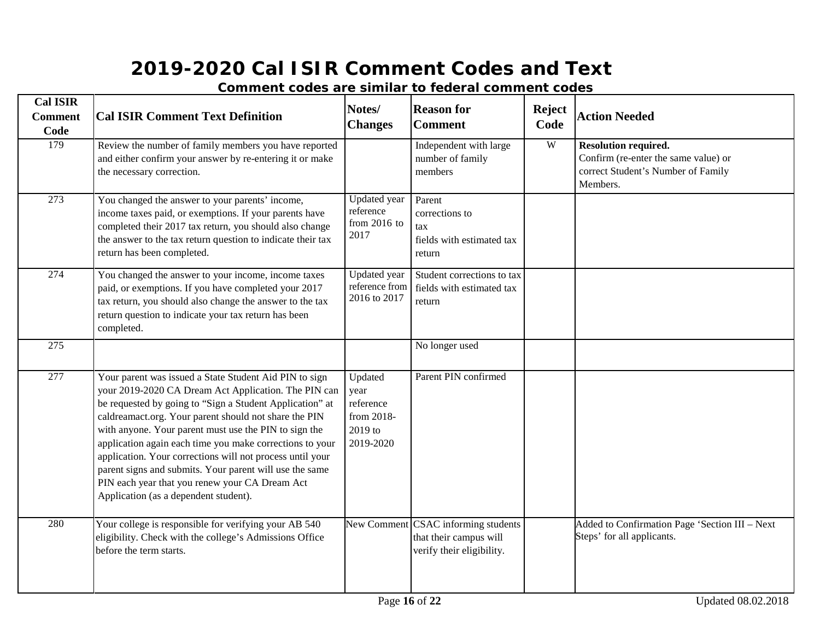| <b>Cal ISIR</b><br><b>Comment</b><br>Code | <b>Cal ISIR Comment Text Definition</b>                                                                                                                                                                                                                                                                                                                                                                                                                                                                                                                                     | Notes/<br><b>Changes</b>                                           | <b>Reason for</b><br><b>Comment</b>                                                        | <b>Reject</b><br>Code | <b>Action Needed</b>                                                                                           |
|-------------------------------------------|-----------------------------------------------------------------------------------------------------------------------------------------------------------------------------------------------------------------------------------------------------------------------------------------------------------------------------------------------------------------------------------------------------------------------------------------------------------------------------------------------------------------------------------------------------------------------------|--------------------------------------------------------------------|--------------------------------------------------------------------------------------------|-----------------------|----------------------------------------------------------------------------------------------------------------|
| 179                                       | Review the number of family members you have reported<br>and either confirm your answer by re-entering it or make<br>the necessary correction.                                                                                                                                                                                                                                                                                                                                                                                                                              |                                                                    | Independent with large<br>number of family<br>members                                      | W                     | Resolution required.<br>Confirm (re-enter the same value) or<br>correct Student's Number of Family<br>Members. |
| 273                                       | You changed the answer to your parents' income,<br>income taxes paid, or exemptions. If your parents have<br>completed their 2017 tax return, you should also change<br>the answer to the tax return question to indicate their tax<br>return has been completed.                                                                                                                                                                                                                                                                                                           | Updated year<br>reference<br>from $2016$ to<br>2017                | Parent<br>corrections to<br>tax<br>fields with estimated tax<br>return                     |                       |                                                                                                                |
| 274                                       | You changed the answer to your income, income taxes<br>paid, or exemptions. If you have completed your 2017<br>tax return, you should also change the answer to the tax<br>return question to indicate your tax return has been<br>completed.                                                                                                                                                                                                                                                                                                                               | Updated year<br>reference from<br>2016 to 2017                     | Student corrections to tax<br>fields with estimated tax<br>return                          |                       |                                                                                                                |
| $\overline{275}$                          |                                                                                                                                                                                                                                                                                                                                                                                                                                                                                                                                                                             |                                                                    | No longer used                                                                             |                       |                                                                                                                |
| 277                                       | Your parent was issued a State Student Aid PIN to sign<br>your 2019-2020 CA Dream Act Application. The PIN can<br>be requested by going to "Sign a Student Application" at<br>caldreamact.org. Your parent should not share the PIN<br>with anyone. Your parent must use the PIN to sign the<br>application again each time you make corrections to your<br>application. Your corrections will not process until your<br>parent signs and submits. Your parent will use the same<br>PIN each year that you renew your CA Dream Act<br>Application (as a dependent student). | Updated<br>year<br>reference<br>from 2018-<br>2019 to<br>2019-2020 | Parent PIN confirmed                                                                       |                       |                                                                                                                |
| 280                                       | Your college is responsible for verifying your AB 540<br>eligibility. Check with the college's Admissions Office<br>before the term starts.                                                                                                                                                                                                                                                                                                                                                                                                                                 |                                                                    | New Comment CSAC informing students<br>that their campus will<br>verify their eligibility. |                       | Added to Confirmation Page 'Section III - Next<br>Steps' for all applicants.                                   |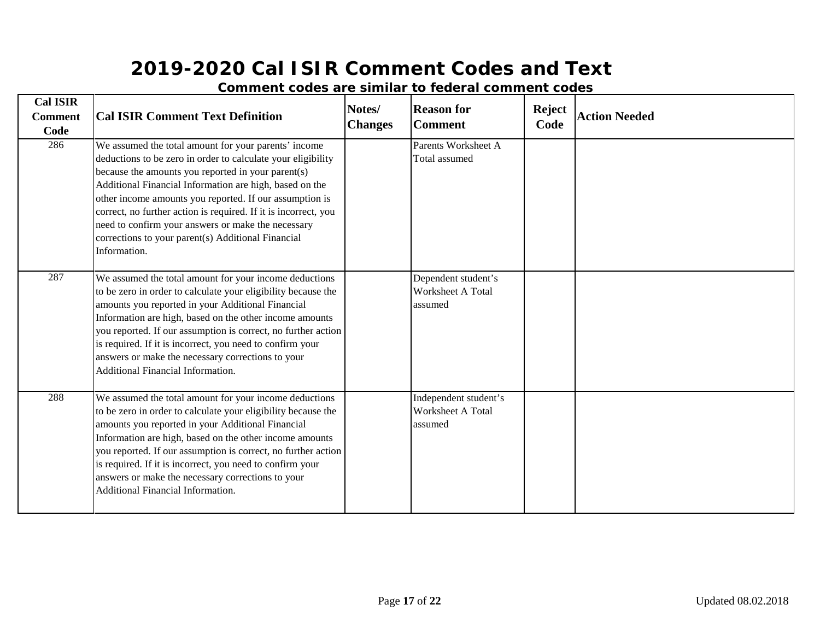| <b>Cal ISIR</b><br><b>Comment</b><br>Code | <b>Cal ISIR Comment Text Definition</b>                                                                                                                                                                                                                                                                                                                                                                                                                                                         | Notes/<br><b>Changes</b> | <b>Reason for</b><br><b>Comment</b>                   | <b>Reject</b><br>Code | <b>Action Needed</b> |
|-------------------------------------------|-------------------------------------------------------------------------------------------------------------------------------------------------------------------------------------------------------------------------------------------------------------------------------------------------------------------------------------------------------------------------------------------------------------------------------------------------------------------------------------------------|--------------------------|-------------------------------------------------------|-----------------------|----------------------|
| 286                                       | We assumed the total amount for your parents' income<br>deductions to be zero in order to calculate your eligibility<br>because the amounts you reported in your parent(s)<br>Additional Financial Information are high, based on the<br>other income amounts you reported. If our assumption is<br>correct, no further action is required. If it is incorrect, you<br>need to confirm your answers or make the necessary<br>corrections to your parent(s) Additional Financial<br>Information. |                          | Parents Worksheet A<br>Total assumed                  |                       |                      |
| 287                                       | We assumed the total amount for your income deductions<br>to be zero in order to calculate your eligibility because the<br>amounts you reported in your Additional Financial<br>Information are high, based on the other income amounts<br>you reported. If our assumption is correct, no further action<br>is required. If it is incorrect, you need to confirm your<br>answers or make the necessary corrections to your<br>Additional Financial Information.                                 |                          | Dependent student's<br>Worksheet A Total<br>assumed   |                       |                      |
| 288                                       | We assumed the total amount for your income deductions<br>to be zero in order to calculate your eligibility because the<br>amounts you reported in your Additional Financial<br>Information are high, based on the other income amounts<br>you reported. If our assumption is correct, no further action<br>is required. If it is incorrect, you need to confirm your<br>answers or make the necessary corrections to your<br>Additional Financial Information.                                 |                          | Independent student's<br>Worksheet A Total<br>assumed |                       |                      |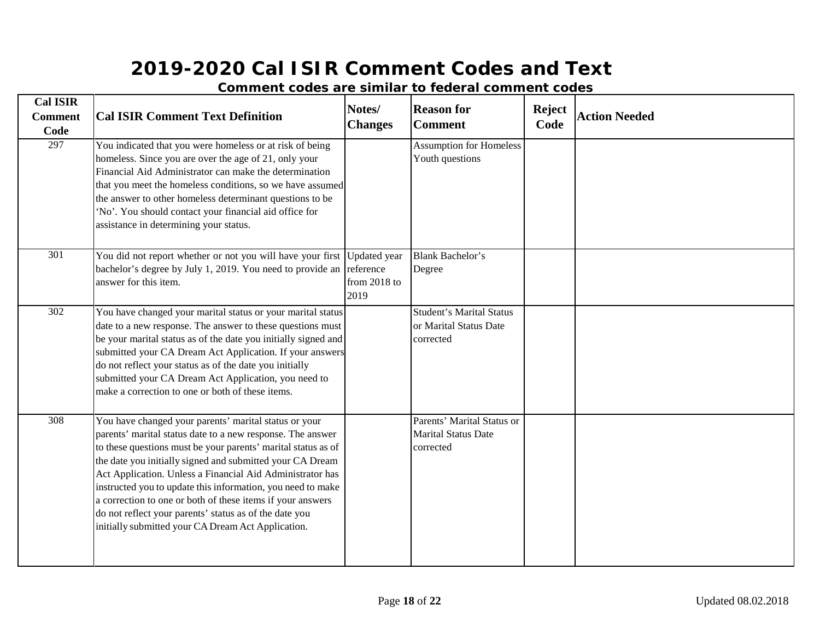| <b>Cal ISIR</b><br><b>Comment</b><br>Code | <b>Cal ISIR Comment Text Definition</b>                                                                                                                                                                                                                                                                                                                                                                                                                                                                                                                     | Notes/<br><b>Changes</b>                            | <b>Reason for</b><br><b>Comment</b>                                    | <b>Reject</b><br>Code | <b>Action Needed</b> |
|-------------------------------------------|-------------------------------------------------------------------------------------------------------------------------------------------------------------------------------------------------------------------------------------------------------------------------------------------------------------------------------------------------------------------------------------------------------------------------------------------------------------------------------------------------------------------------------------------------------------|-----------------------------------------------------|------------------------------------------------------------------------|-----------------------|----------------------|
| 297                                       | You indicated that you were homeless or at risk of being<br>homeless. Since you are over the age of 21, only your<br>Financial Aid Administrator can make the determination<br>that you meet the homeless conditions, so we have assumed<br>the answer to other homeless determinant questions to be<br>'No'. You should contact your financial aid office for<br>assistance in determining your status.                                                                                                                                                    |                                                     | <b>Assumption for Homeless</b><br>Youth questions                      |                       |                      |
| 301                                       | You did not report whether or not you will have your first<br>bachelor's degree by July 1, 2019. You need to provide an<br>answer for this item.                                                                                                                                                                                                                                                                                                                                                                                                            | Updated year<br>reference<br>from $2018$ to<br>2019 | <b>Blank Bachelor's</b><br>Degree                                      |                       |                      |
| 302                                       | You have changed your marital status or your marital status<br>date to a new response. The answer to these questions must<br>be your marital status as of the date you initially signed and<br>submitted your CA Dream Act Application. If your answers<br>do not reflect your status as of the date you initially<br>submitted your CA Dream Act Application, you need to<br>make a correction to one or both of these items.                                                                                                                              |                                                     | <b>Student's Marital Status</b><br>or Marital Status Date<br>corrected |                       |                      |
| $\overline{308}$                          | You have changed your parents' marital status or your<br>parents' marital status date to a new response. The answer<br>to these questions must be your parents' marital status as of<br>the date you initially signed and submitted your CA Dream<br>Act Application. Unless a Financial Aid Administrator has<br>instructed you to update this information, you need to make<br>a correction to one or both of these items if your answers<br>do not reflect your parents' status as of the date you<br>initially submitted your CA Dream Act Application. |                                                     | Parents' Marital Status or<br><b>Marital Status Date</b><br>corrected  |                       |                      |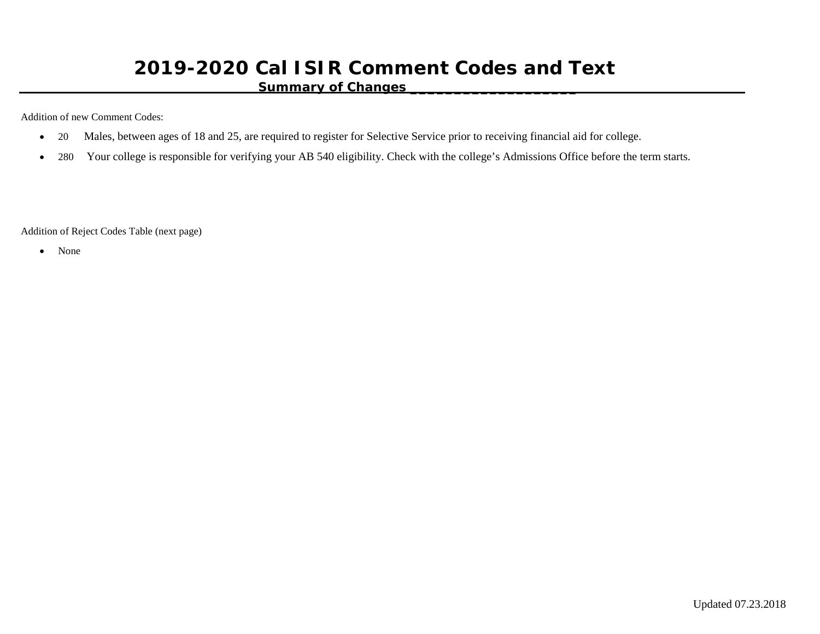#### **Summary of Changes \_\_\_\_\_\_\_\_\_\_\_\_\_\_\_\_\_\_\_**

Addition of new Comment Codes:

- 20 Males, between ages of 18 and 25, are required to register for Selective Service prior to receiving financial aid for college.
- 280 Your college is responsible for verifying your AB 540 eligibility. Check with the college's Admissions Office before the term starts.

Addition of Reject Codes Table (next page)

• None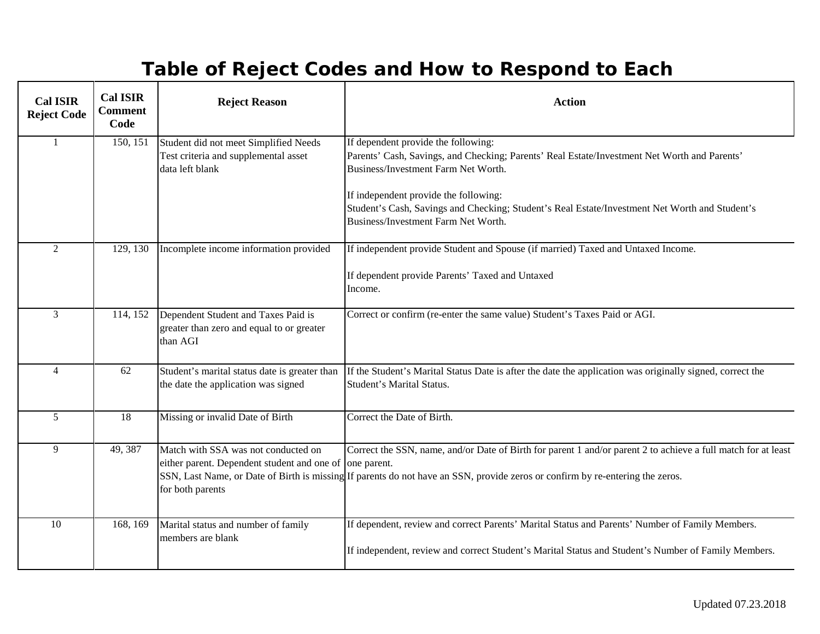# **Table of Reject Codes and How to Respond to Each**

| <b>Cal ISIR</b><br><b>Reject Code</b> | <b>Cal ISIR</b><br><b>Comment</b><br>Code | <b>Reject Reason</b>                                                                                   | <b>Action</b>                                                                                                                                                                                                                                                                                                                                                |
|---------------------------------------|-------------------------------------------|--------------------------------------------------------------------------------------------------------|--------------------------------------------------------------------------------------------------------------------------------------------------------------------------------------------------------------------------------------------------------------------------------------------------------------------------------------------------------------|
| $\mathbf{1}$                          | 150, 151                                  | Student did not meet Simplified Needs<br>Test criteria and supplemental asset<br>data left blank       | If dependent provide the following:<br>Parents' Cash, Savings, and Checking; Parents' Real Estate/Investment Net Worth and Parents'<br>Business/Investment Farm Net Worth.<br>If independent provide the following:<br>Student's Cash, Savings and Checking; Student's Real Estate/Investment Net Worth and Student's<br>Business/Investment Farm Net Worth. |
| $\overline{2}$                        | 129, 130                                  | Incomplete income information provided                                                                 | If independent provide Student and Spouse (if married) Taxed and Untaxed Income.<br>If dependent provide Parents' Taxed and Untaxed<br>Income.                                                                                                                                                                                                               |
| 3                                     | 114, 152                                  | Dependent Student and Taxes Paid is<br>greater than zero and equal to or greater<br>than AGI           | Correct or confirm (re-enter the same value) Student's Taxes Paid or AGI.                                                                                                                                                                                                                                                                                    |
| $\overline{4}$                        | 62                                        | Student's marital status date is greater than<br>the date the application was signed                   | If the Student's Marital Status Date is after the date the application was originally signed, correct the<br><b>Student's Marital Status.</b>                                                                                                                                                                                                                |
| 5                                     | 18                                        | Missing or invalid Date of Birth                                                                       | Correct the Date of Birth.                                                                                                                                                                                                                                                                                                                                   |
| 9                                     | 49, 387                                   | Match with SSA was not conducted on<br>either parent. Dependent student and one of<br>for both parents | Correct the SSN, name, and/or Date of Birth for parent 1 and/or parent 2 to achieve a full match for at least<br>one parent.<br>SSN, Last Name, or Date of Birth is missing If parents do not have an SSN, provide zeros or confirm by re-entering the zeros.                                                                                                |
| 10                                    | 168, 169                                  | Marital status and number of family<br>members are blank                                               | If dependent, review and correct Parents' Marital Status and Parents' Number of Family Members.<br>If independent, review and correct Student's Marital Status and Student's Number of Family Members.                                                                                                                                                       |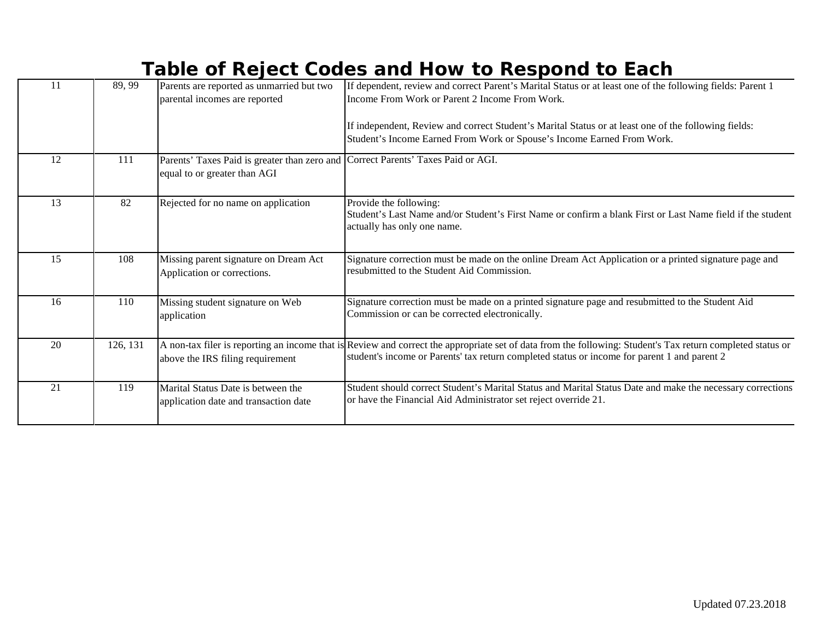### **Table of Reject Codes and How to Respond to Each**

| 11 | 89, 99   | Parents are reported as unmarried but two<br>parental incomes are reported                                       | If dependent, review and correct Parent's Marital Status or at least one of the following fields: Parent 1<br>Income From Work or Parent 2 Income From Work.                                                                                               |
|----|----------|------------------------------------------------------------------------------------------------------------------|------------------------------------------------------------------------------------------------------------------------------------------------------------------------------------------------------------------------------------------------------------|
|    |          |                                                                                                                  | If independent, Review and correct Student's Marital Status or at least one of the following fields:<br>Student's Income Earned From Work or Spouse's Income Earned From Work.                                                                             |
| 12 | 111      | Parents' Taxes Paid is greater than zero and Correct Parents' Taxes Paid or AGI.<br>equal to or greater than AGI |                                                                                                                                                                                                                                                            |
| 13 | 82       | Rejected for no name on application                                                                              | Provide the following:<br>Student's Last Name and/or Student's First Name or confirm a blank First or Last Name field if the student<br>actually has only one name.                                                                                        |
| 15 | 108      | Missing parent signature on Dream Act<br>Application or corrections.                                             | Signature correction must be made on the online Dream Act Application or a printed signature page and<br>resubmitted to the Student Aid Commission.                                                                                                        |
| 16 | 110      | Missing student signature on Web<br>application                                                                  | Signature correction must be made on a printed signature page and resubmitted to the Student Aid<br>Commission or can be corrected electronically.                                                                                                         |
| 20 | 126, 131 | above the IRS filing requirement                                                                                 | A non-tax filer is reporting an income that is Review and correct the appropriate set of data from the following: Student's Tax return completed status or<br>student's income or Parents' tax return completed status or income for parent 1 and parent 2 |
| 21 | 119      | Marital Status Date is between the<br>application date and transaction date                                      | Student should correct Student's Marital Status and Marital Status Date and make the necessary corrections<br>or have the Financial Aid Administrator set reject override 21.                                                                              |